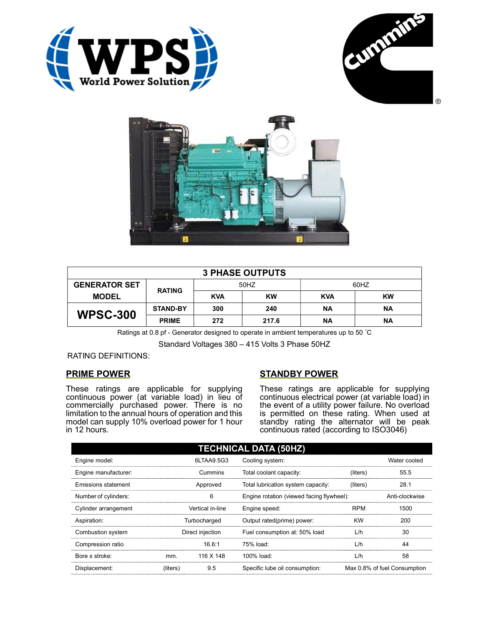





| <b>3 PHASE OUTPUTS</b> |                 |            |           |            |           |  |
|------------------------|-----------------|------------|-----------|------------|-----------|--|
| <b>GENERATOR SET</b>   | <b>RATING</b>   | 50HZ       |           | 60HZ       |           |  |
| <b>MODEL</b>           |                 | <b>KVA</b> | <b>KW</b> | <b>KVA</b> | <b>KW</b> |  |
| <b>WPSC-300</b>        | <b>STAND-BY</b> | 300        | 240       | ΝA         | ΝA        |  |
|                        | <b>PRIME</b>    | 272        | 217.6     | <b>NA</b>  | ΝA        |  |

Ratings at 0.8 pf - Generator designed to operate in ambient temperatures up to 50 °C

Standard Voltages 380 – 415 Volts 3 Phase 50HZ

# RATING DEFINITIONS:

# PRIME POWER

These ratings are applicable for supplying continuous power (at variable load) in lieu of commercially purchased power. There is no limitation to the annual hours of operation and this model can supply 10% overload power for 1 hour in 12 hours.

# STANDBY POWER

These ratings are applicable for supplying continuous electrical power (at variable load) in the event of a utility power failure. No overload is permitted on these rating. When used at standby rating the alternator will be peak continuous rated (according to ISO3046)

| <b>TECHNICAL DATA (50HZ)</b> |                  |            |                                           |            |                              |  |
|------------------------------|------------------|------------|-------------------------------------------|------------|------------------------------|--|
| Engine model:                |                  | 6LTAA9.5G3 | Cooling system:                           |            | Water cooled                 |  |
| Engine manufacturer:         | Cummins          |            | Total coolant capacity:                   | (liters)   | 55.5                         |  |
| Emissions statement          | Approved         |            | Total lubrication system capacity:        | (liters)   | 28.1                         |  |
| Number of cylinders:         | 6                |            | Engine rotation (viewed facing flywheel): |            | Anti-clockwise               |  |
| Cylinder arrangement         | Vertical in-line |            | Engine speed:                             | <b>RPM</b> | 1500                         |  |
| Aspiration:                  | Turbocharged     |            | Output rated(prime) power:                | <b>KW</b>  | 200                          |  |
| Combustion system            | Direct injection |            | Fuel consumption at: 50% load             | L/h        | 30                           |  |
| Compression ratio            |                  | 16.6:1     | 75% load:                                 | L/h        | 44                           |  |
| Bore x stroke:               | mm.              | 116 X 148  | 100% load:                                | L/h        | 58                           |  |
| Displacement:                | (liters)         | 9.5        | Specific lube oil consumption:            |            | Max 0.8% of fuel Consumption |  |